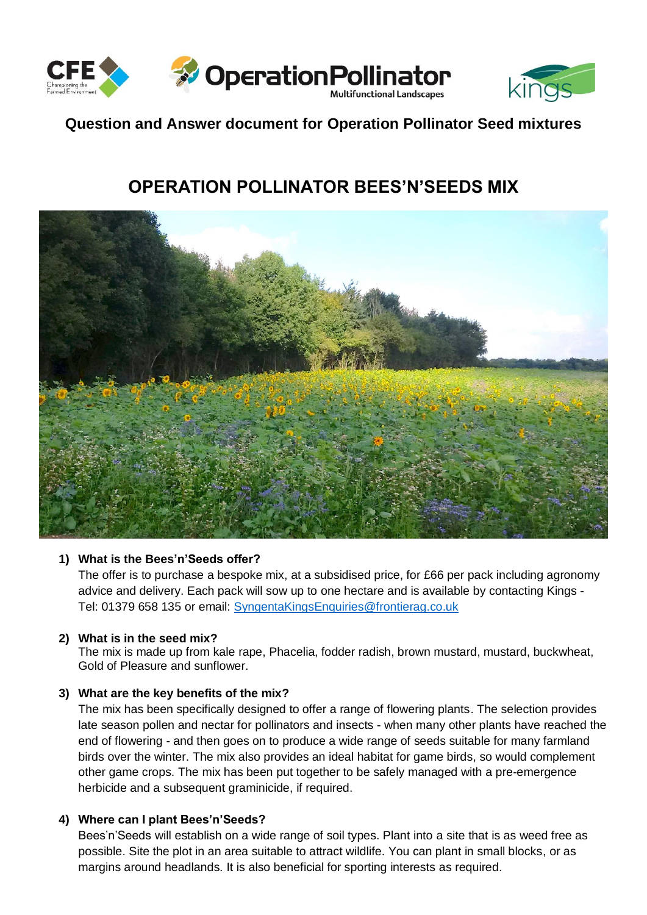



## **Question and Answer document for Operation Pollinator Seed mixtures**

# **OPERATION POLLINATOR BEES'N'SEEDS MIX**



#### **1) What is the Bees'n'Seeds offer?**

The offer is to purchase a bespoke mix, at a subsidised price, for £66 per pack including agronomy advice and delivery. Each pack will sow up to one hectare and is available by contacting Kings - Tel: 01379 658 135 or email: [SyngentaKingsEnquiries@frontierag.co.uk](mailto:SyngentaKingsEnquiries@frontierag.co.uk)

#### **2) What is in the seed mix?**

The mix is made up from kale rape, Phacelia, fodder radish, brown mustard, mustard, buckwheat, Gold of Pleasure and sunflower.

### **3) What are the key benefits of the mix?**

The mix has been specifically designed to offer a range of flowering plants. The selection provides late season pollen and nectar for pollinators and insects - when many other plants have reached the end of flowering - and then goes on to produce a wide range of seeds suitable for many farmland birds over the winter. The mix also provides an ideal habitat for game birds, so would complement other game crops. The mix has been put together to be safely managed with a pre-emergence herbicide and a subsequent graminicide, if required.

#### **4) Where can I plant Bees'n'Seeds?**

Bees'n'Seeds will establish on a wide range of soil types. Plant into a site that is as weed free as possible. Site the plot in an area suitable to attract wildlife. You can plant in small blocks, or as margins around headlands. It is also beneficial for sporting interests as required.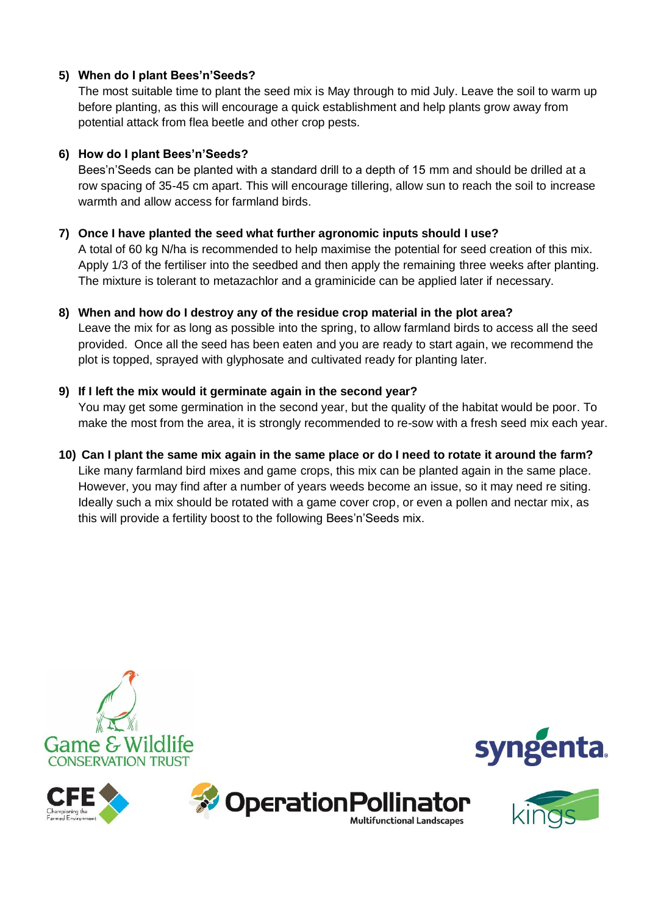## **5) When do I plant Bees'n'Seeds?**

The most suitable time to plant the seed mix is May through to mid July. Leave the soil to warm up before planting, as this will encourage a quick establishment and help plants grow away from potential attack from flea beetle and other crop pests.

## **6) How do I plant Bees'n'Seeds?**

Bees'n'Seeds can be planted with a standard drill to a depth of 15 mm and should be drilled at a row spacing of 35-45 cm apart. This will encourage tillering, allow sun to reach the soil to increase warmth and allow access for farmland birds.

## **7) Once I have planted the seed what further agronomic inputs should I use?**

A total of 60 kg N/ha is recommended to help maximise the potential for seed creation of this mix. Apply 1/3 of the fertiliser into the seedbed and then apply the remaining three weeks after planting. The mixture is tolerant to metazachlor and a graminicide can be applied later if necessary.

## **8) When and how do I destroy any of the residue crop material in the plot area?**

Leave the mix for as long as possible into the spring, to allow farmland birds to access all the seed provided. Once all the seed has been eaten and you are ready to start again, we recommend the plot is topped, sprayed with glyphosate and cultivated ready for planting later.

## **9) If I left the mix would it germinate again in the second year?**

You may get some germination in the second year, but the quality of the habitat would be poor. To make the most from the area, it is strongly recommended to re-sow with a fresh seed mix each year.

## **10) Can I plant the same mix again in the same place or do I need to rotate it around the farm?**

Like many farmland bird mixes and game crops, this mix can be planted again in the same place. However, you may find after a number of years weeds become an issue, so it may need re siting. Ideally such a mix should be rotated with a game cover crop, or even a pollen and nectar mix, as this will provide a fertility boost to the following Bees'n'Seeds mix.







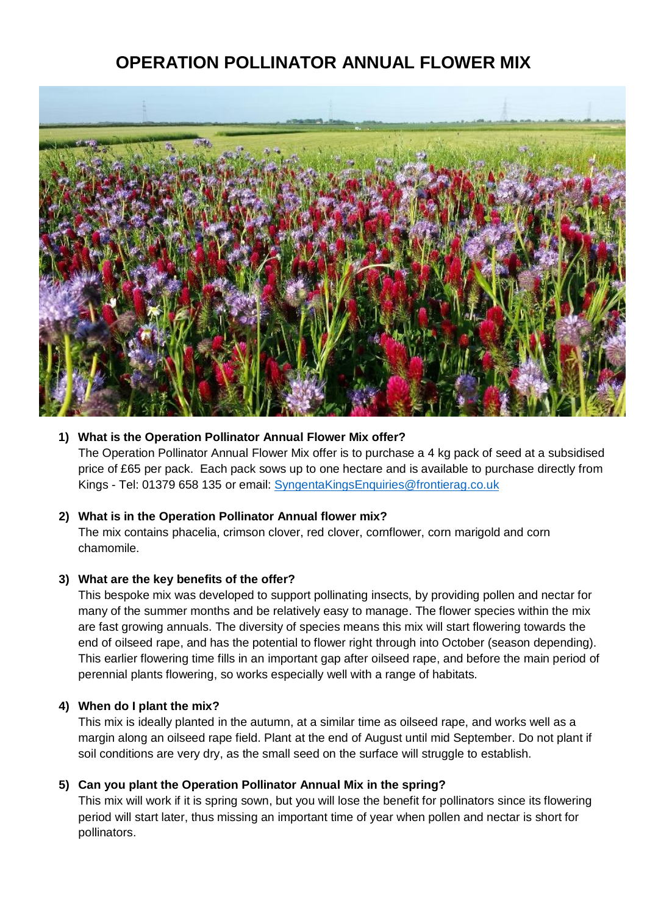## **OPERATION POLLINATOR ANNUAL FLOWER MIX**



#### **1) What is the Operation Pollinator Annual Flower Mix offer?**

The Operation Pollinator Annual Flower Mix offer is to purchase a 4 kg pack of seed at a subsidised price of £65 per pack. Each pack sows up to one hectare and is available to purchase directly from Kings - Tel: 01379 658 135 or email: [SyngentaKingsEnquiries@frontierag.co.uk](mailto:SyngentaKingsEnquiries@frontierag.co.uk)

#### **2) What is in the Operation Pollinator Annual flower mix?**

The mix contains phacelia, crimson clover, red clover, cornflower, corn marigold and corn chamomile.

#### **3) What are the key benefits of the offer?**

This bespoke mix was developed to support pollinating insects, by providing pollen and nectar for many of the summer months and be relatively easy to manage. The flower species within the mix are fast growing annuals. The diversity of species means this mix will start flowering towards the end of oilseed rape, and has the potential to flower right through into October (season depending). This earlier flowering time fills in an important gap after oilseed rape, and before the main period of perennial plants flowering, so works especially well with a range of habitats.

#### **4) When do I plant the mix?**

This mix is ideally planted in the autumn, at a similar time as oilseed rape, and works well as a margin along an oilseed rape field. Plant at the end of August until mid September. Do not plant if soil conditions are very dry, as the small seed on the surface will struggle to establish.

#### **5) Can you plant the Operation Pollinator Annual Mix in the spring?**

This mix will work if it is spring sown, but you will lose the benefit for pollinators since its flowering period will start later, thus missing an important time of year when pollen and nectar is short for pollinators.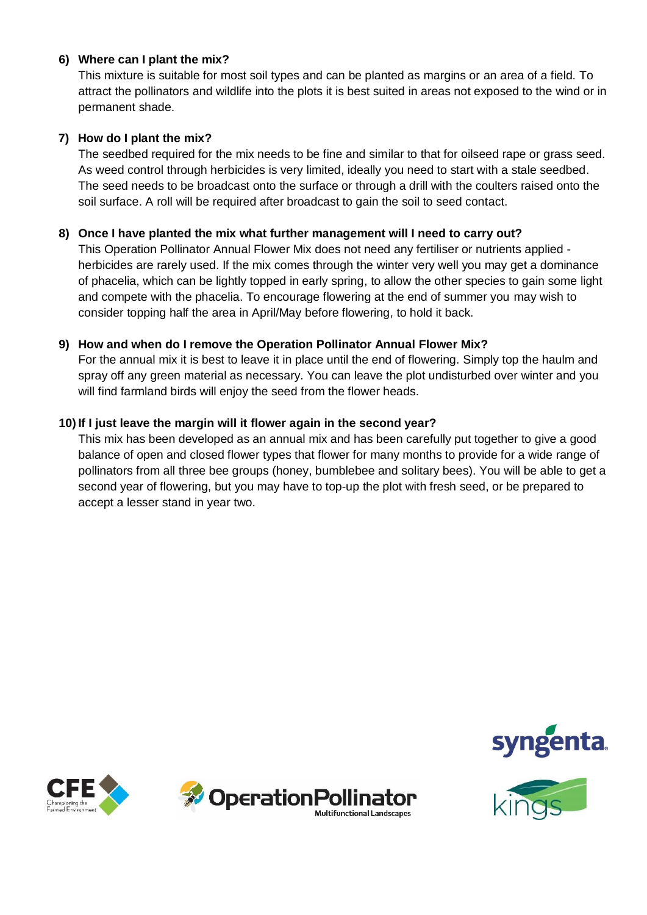### **6) Where can I plant the mix?**

This mixture is suitable for most soil types and can be planted as margins or an area of a field. To attract the pollinators and wildlife into the plots it is best suited in areas not exposed to the wind or in permanent shade.

#### **7) How do I plant the mix?**

The seedbed required for the mix needs to be fine and similar to that for oilseed rape or grass seed. As weed control through herbicides is very limited, ideally you need to start with a stale seedbed. The seed needs to be broadcast onto the surface or through a drill with the coulters raised onto the soil surface. A roll will be required after broadcast to gain the soil to seed contact.

#### **8) Once I have planted the mix what further management will I need to carry out?**

This Operation Pollinator Annual Flower Mix does not need any fertiliser or nutrients applied herbicides are rarely used. If the mix comes through the winter very well you may get a dominance of phacelia, which can be lightly topped in early spring, to allow the other species to gain some light and compete with the phacelia. To encourage flowering at the end of summer you may wish to consider topping half the area in April/May before flowering, to hold it back.

#### **9) How and when do I remove the Operation Pollinator Annual Flower Mix?**

For the annual mix it is best to leave it in place until the end of flowering. Simply top the haulm and spray off any green material as necessary. You can leave the plot undisturbed over winter and you will find farmland birds will enjoy the seed from the flower heads.

#### **10) If I just leave the margin will it flower again in the second year?**

This mix has been developed as an annual mix and has been carefully put together to give a good balance of open and closed flower types that flower for many months to provide for a wide range of pollinators from all three bee groups (honey, bumblebee and solitary bees). You will be able to get a second year of flowering, but you may have to top-up the plot with fresh seed, or be prepared to accept a lesser stand in year two.







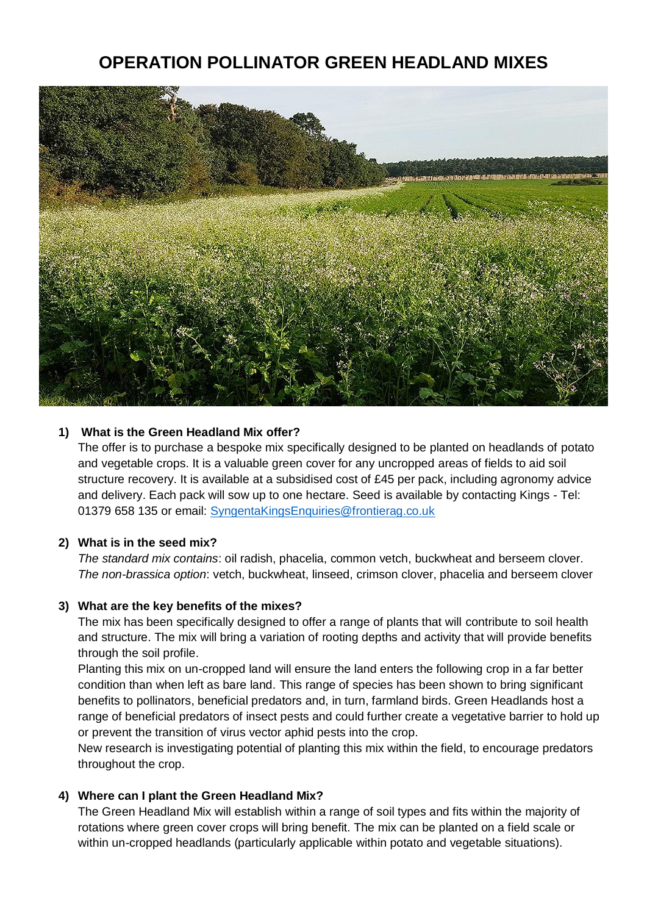## **OPERATION POLLINATOR GREEN HEADLAND MIXES**



#### **1) What is the Green Headland Mix offer?**

The offer is to purchase a bespoke mix specifically designed to be planted on headlands of potato and vegetable crops. It is a valuable green cover for any uncropped areas of fields to aid soil structure recovery. It is available at a subsidised cost of £45 per pack, including agronomy advice and delivery. Each pack will sow up to one hectare. Seed is available by contacting Kings - Tel: 01379 658 135 or email: [SyngentaKingsEnquiries@frontierag.co.uk](mailto:SyngentaKingsEnquiries@frontierag.co.uk)

#### **2) What is in the seed mix?**

*The standard mix contains*: oil radish, phacelia, common vetch, buckwheat and berseem clover. *The non-brassica option*: vetch, buckwheat, linseed, crimson clover, phacelia and berseem clover

#### **3) What are the key benefits of the mixes?**

The mix has been specifically designed to offer a range of plants that will contribute to soil health and structure. The mix will bring a variation of rooting depths and activity that will provide benefits through the soil profile.

Planting this mix on un-cropped land will ensure the land enters the following crop in a far better condition than when left as bare land. This range of species has been shown to bring significant benefits to pollinators, beneficial predators and, in turn, farmland birds. Green Headlands host a range of beneficial predators of insect pests and could further create a vegetative barrier to hold up or prevent the transition of virus vector aphid pests into the crop.

New research is investigating potential of planting this mix within the field, to encourage predators throughout the crop.

#### **4) Where can I plant the Green Headland Mix?**

The Green Headland Mix will establish within a range of soil types and fits within the majority of rotations where green cover crops will bring benefit. The mix can be planted on a field scale or within un-cropped headlands (particularly applicable within potato and vegetable situations).